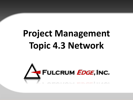# **Project Management Topic 4.3 Network**

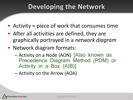### Developing the Network

- Activity = piece of work that consumes time
- After all activities are defined, they are graphically portrayed in a *network diagram*
- Network diagram formats:
	- Activity on a Node (AON) [Also known as Precedence Diagram Method (PDM) or Activity in a Box (AIB)]
	- Activity on the Arrow (AOA)

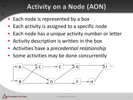## **Activity on a Node (AON)**

est test

Test

- Each node is represented by a box
- Each activity is assigned to a specific node
- Each node has a *unique* activity number or letter
- Activity description is written in the box
- Activities have a *precedential relationship*
- Some activities may be done concurrently



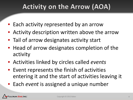# **Activity on the Arrow (AOA)**

- Each activity represented by an arrow
- Activity description written above the arrow
- Tail of arrow designates activity start
- Head of arrow designates completion of the activity
- Activities linked by circles called *events*
- Event represents the finish of activities entering it and the start of activities leaving it
- Each *event* is assigned a unique number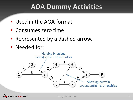### **AOA Dummy Activities**

- Used in the AOA format.
- Consumes zero time.
- Represented by a dashed arrow.
- Needed for:

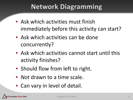### **Network Diagramming**

- Ask which activities must finish immediately before this activity can start?
- Ask which activities can be done concurrently?
- Ask which activities cannot start until this activity finishes?
- Should flow from left to right.
- *Not* drawn to a time scale.
- Can vary in level of detail.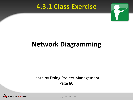### **4.3.1 Class Exercise**



# **Network Diagramming**

#### Learn by Doing Project Management Page 80

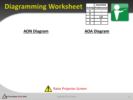### **Diagramming Worksheet**

**Immediate Activity Predecessor A - B - C A,B D C E C**



#### **AON Diagram**

#### **AOA Diagram**



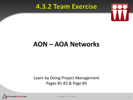### **4.3.2 Team Exercise**



### **AON – AOA Networks**

Learn by Doing Project Management Pages 81-82 & Page 85

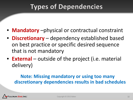# **Types of Dependencies**

- **Mandatory** –physical or contractual constraint
- **Discretionary** dependency established based on best practice or specific desired sequence that is not mandatory
- **External** outside of the project (i.e. material delivery)

#### **Note: Missing mandatory or using too many discretionary dependencies results in bad schedules**

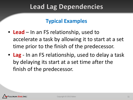### **Lead Lag Dependencies**

### **Typical Examples**

- **Lead** In an FS relationship, used to accelerate a task by allowing it to start at a set time prior to the finish of the predecessor.
- **Lag** In an FS relationship, used to delay a task by delaying its start at a set time after the finish of the predecessor.